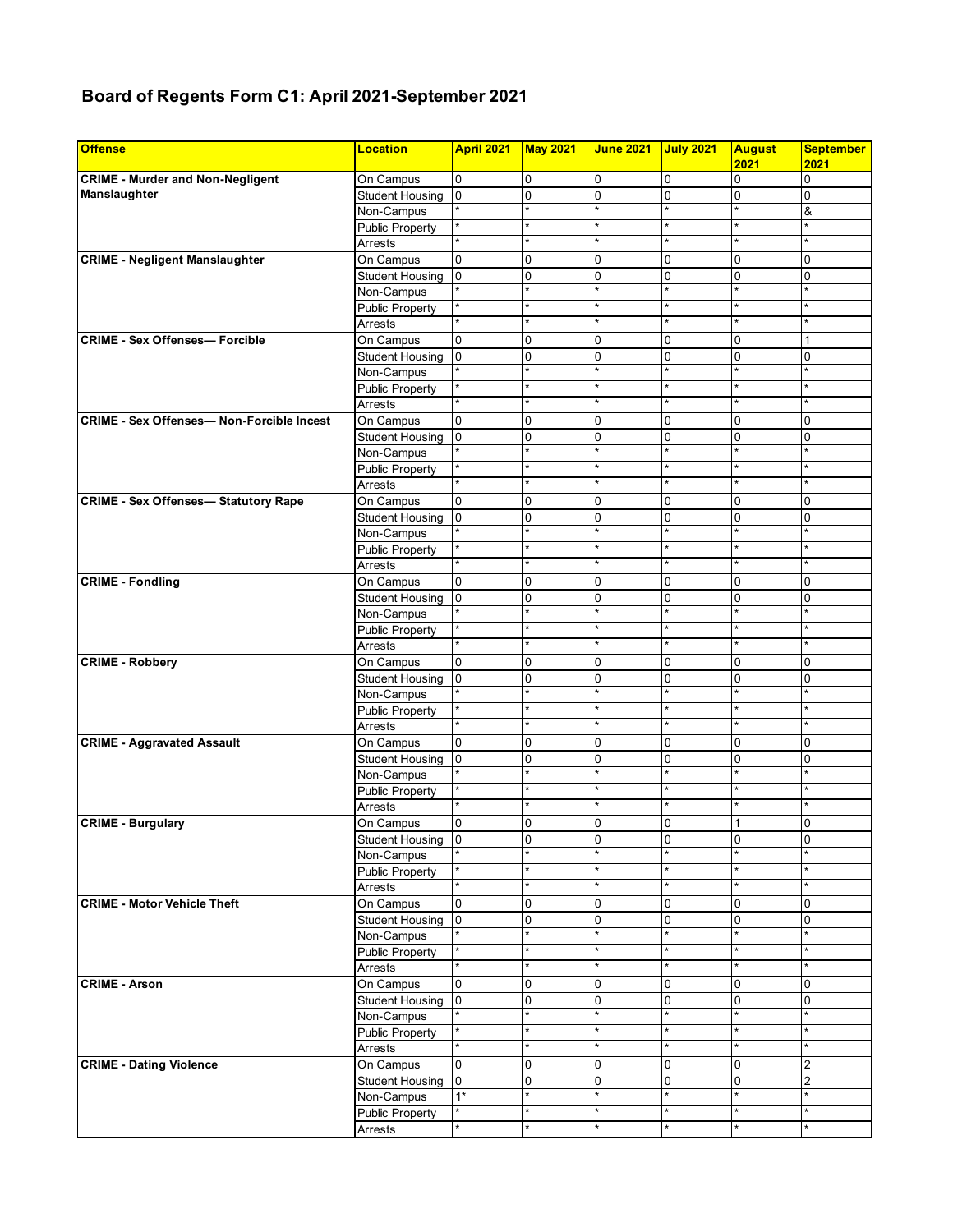## **Board of Regents Form C1: April 2021-September 2021**

| <b>Offense</b>                                  | <b>Location</b>        | April 2021     | <b>May 2021</b>        | <b>June 2021</b> | <b>July 2021</b> | <b>August</b><br>2021 | <b>September</b><br>2021 |
|-------------------------------------------------|------------------------|----------------|------------------------|------------------|------------------|-----------------------|--------------------------|
| <b>CRIME - Murder and Non-Negligent</b>         | On Campus              | 0              | $\mathbf 0$            | 0                | 0                | $\Omega$              | $\overline{0}$           |
| Manslaughter                                    | <b>Student Housing</b> | 0              | $\mathbf 0$            | $\mathbf 0$      | 0                | $\mathbf 0$           | $\overline{0}$           |
|                                                 | Non-Campus             |                | $\star$                |                  |                  |                       | &                        |
|                                                 | <b>Public Property</b> | ×              | $\star$                |                  | $\star$          | $\star$               | $\star$                  |
|                                                 | Arrests                | $\star$        | $\star$                | $\star$          | $\star$          | $\star$               | $\star$                  |
| <b>CRIME - Negligent Manslaughter</b>           | On Campus              | 0              | $\mathbf 0$            | $\mathbf 0$      | 0                | 0                     | 0                        |
|                                                 | <b>Student Housing</b> | 0              | 0                      | 0                | 0                | $\Omega$              | 0                        |
|                                                 | Non-Campus             |                | ÷                      | ٠                | $\star$          | ÷                     |                          |
|                                                 | <b>Public Property</b> | ×              | $\star$                | $\star$          | $\star$          | $\star$               |                          |
|                                                 | Arrests                |                | $\star$                |                  | $\star$          | $\star$               |                          |
| <b>CRIME - Sex Offenses- Forcible</b>           | On Campus              | 0              | 0                      | 0                | 0                | $\Omega$              | 1                        |
|                                                 | <b>Student Housing</b> | 0              | 0                      | 0                | 0                | $\Omega$              | 0                        |
|                                                 | Non-Campus             |                | $\star$                |                  | $\star$          | $\star$               |                          |
|                                                 | <b>Public Property</b> |                | $\star$                | $\star$          | $\star$          | $\star$               |                          |
|                                                 | Arrests                |                | $\star$                | ÷                | $\star$          | $\star$               |                          |
| <b>CRIME - Sex Offenses-Non-Forcible Incest</b> |                        |                |                        |                  |                  |                       |                          |
|                                                 | On Campus              | 0              | 0                      | 0                | 0                | 0                     | 0                        |
|                                                 | <b>Student Housing</b> | 0              | $\mathbf 0$<br>$\star$ | $\mathbf 0$      | 0<br>$\star$     | 0<br>$\star$          | $\overline{0}$           |
|                                                 | Non-Campus             |                | $\star$                | $\star$          | $\star$          | $\star$               |                          |
|                                                 | <b>Public Property</b> | $\star$        |                        |                  |                  |                       |                          |
|                                                 | Arrests                |                | $\star$                | $\star$          | $\star$          | $\star$               |                          |
| <b>CRIME - Sex Offenses-Statutory Rape</b>      | On Campus              | 0              | 0                      | $\mathbf 0$      | 0                | 0                     | 0                        |
|                                                 | <b>Student Housing</b> | 0              | 0                      | 0                | 0                | $\mathbf 0$           | 0                        |
|                                                 | Non-Campus             |                | $\star$                |                  | $\star$          |                       |                          |
|                                                 | <b>Public Property</b> |                | $\star$                | $\star$          | $\star$          | $\star$               |                          |
|                                                 | Arrests                | $\star$        | $\star$                | $\star$          | $\star$          | $\star$               |                          |
| <b>CRIME - Fondling</b>                         | On Campus              | 0              | 0                      | 0                | 0                | $\Omega$              | $\Omega$                 |
|                                                 | <b>Student Housing</b> | 0              | 0                      | 0                | 0                | $\Omega$              | $\Omega$                 |
|                                                 | Non-Campus             |                | $\star$                |                  | $\star$          |                       |                          |
|                                                 | <b>Public Property</b> | ×              | $\star$                | $\star$          | $\star$          | $\star$               |                          |
|                                                 | Arrests                |                | $\star$                |                  |                  | $\star$               |                          |
| <b>CRIME - Robbery</b>                          | On Campus              | 0              | 0                      | 0                | 0                | $\Omega$              | 0                        |
|                                                 | <b>Student Housing</b> | 0              | 0                      | 0                | 0                | $\mathbf 0$           | 0                        |
|                                                 | Non-Campus             |                | $\star$                |                  | $\star$          | $\star$               |                          |
|                                                 | <b>Public Property</b> | $\star$        | $\star$                | $\star$          | $\star$          | $\star$               |                          |
|                                                 | Arrests                |                | $\star$                | $\star$          | $\star$          | $\star$               |                          |
| <b>CRIME - Aggravated Assault</b>               | On Campus              | 0              | 0                      | 0                | 0                | $\mathbf 0$           | 0                        |
|                                                 | <b>Student Housing</b> | $\overline{0}$ | 0                      | $\mathbf 0$      | 0                | $\Omega$              | 0                        |
|                                                 | Non-Campus             |                | $\star$                | $\star$          | $\star$          | $\star$               |                          |
|                                                 | <b>Public Property</b> |                | $\star$                |                  | $\star$          | $\star$               |                          |
|                                                 | Arrests                |                | $\star$                | $\star$          | $\star$          | $\star$               |                          |
| <b>CRIME - Burgulary</b>                        | On Campus              | 0              | 0                      | 0                | 0                | 1                     | 0                        |
|                                                 | Student Housing        | 0              | 0                      | 0                | 0                | 0                     | 0                        |
|                                                 | Non-Campus             |                |                        |                  |                  |                       |                          |
|                                                 | <b>Public Property</b> |                | $\star$                | $\star$          | $\star$          | $\star$               |                          |
|                                                 | Arrests                | *              | $\star$                | $\star$          | $\star$          | $\star$               |                          |
| <b>CRIME - Motor Vehicle Theft</b>              |                        | 0              | $\mathbf 0$            |                  |                  | 0                     | 0                        |
|                                                 | On Campus              | 0              | 0                      | 0                | 0<br>0           | $\mathbf 0$           | 0                        |
|                                                 | Student Housing        |                | $\star$                | 0                |                  |                       |                          |
|                                                 | Non-Campus             |                | $\star$                | $\star$          | $\star$          | $\star$               | $\star$                  |
|                                                 | <b>Public Property</b> |                | $\star$                |                  | $\star$          | $\star$               |                          |
|                                                 | Arrests                |                |                        |                  |                  |                       |                          |
| <b>CRIME - Arson</b>                            | On Campus              | 0              | 0                      | 0                | 0                | $\Omega$              | 0                        |
|                                                 | <b>Student Housing</b> | 0              | $\mathbf 0$            | 0                | 0                | $\mathbf 0$           | 0                        |
|                                                 | Non-Campus             |                | $\star$                |                  | $\star$          | $\star$               |                          |
|                                                 | <b>Public Property</b> |                | $\star$                |                  | $\star$          | $\star$               |                          |
|                                                 | Arrests                |                | $\star$                |                  |                  |                       |                          |
| <b>CRIME - Dating Violence</b>                  | On Campus              | 0              | 0                      | 0                | 0                | $\mathbf 0$           | 2                        |
|                                                 | <b>Student Housing</b> | 0              | $\mathbf 0$            | $\mathbf 0$      | 0                | $\mathbf 0$           | $\overline{2}$           |
|                                                 | Non-Campus             | $1*$           | $\star$                |                  | $\star$          |                       |                          |
|                                                 | <b>Public Property</b> |                | $\star$                |                  | $\star$          | $\star$               |                          |
|                                                 | Arrests                | ×              | $\star$                | $\star$          | $\star$          | $\star$               |                          |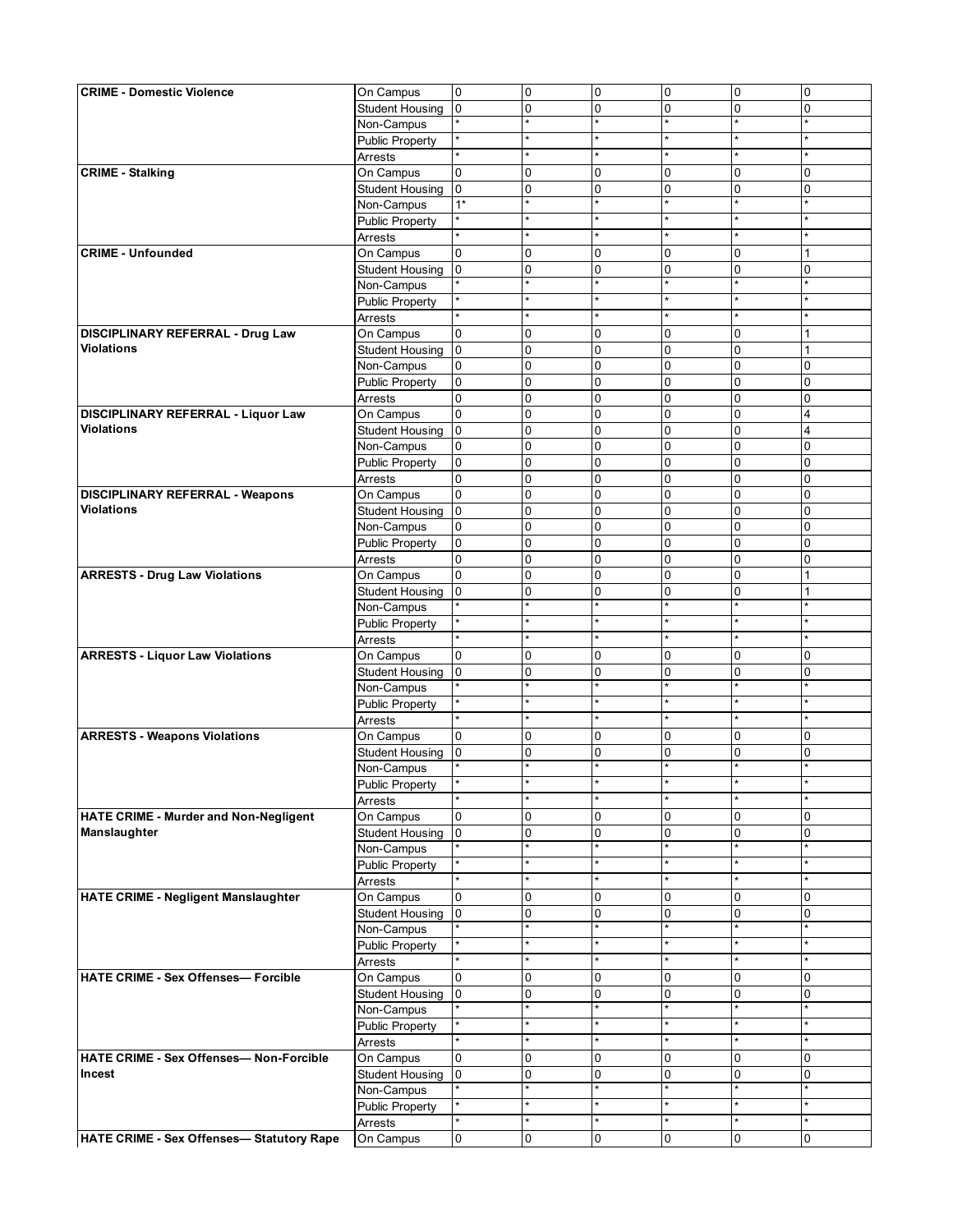| <b>CRIME - Domestic Violence</b>               | On Campus              | $\overline{0}$ | $\overline{0}$ | $\mathbf 0$             | 0                      | $\overline{0}$ | $\overline{0}$ |
|------------------------------------------------|------------------------|----------------|----------------|-------------------------|------------------------|----------------|----------------|
|                                                | <b>Student Housing</b> | $\overline{0}$ | 0              | $\Omega$                | $\mathbf{0}$           | 0              | $\overline{0}$ |
|                                                | Non-Campus             |                | $\star$        |                         |                        | $\star$        |                |
|                                                | <b>Public Property</b> |                |                |                         |                        |                |                |
|                                                | Arrests                |                |                |                         |                        |                |                |
| <b>CRIME - Stalking</b>                        | On Campus              | $\mathbf{0}$   | 0              | $\mathbf 0$             | $\mathbf 0$            | 0              | 0              |
|                                                | <b>Student Housing</b> | $\overline{0}$ | 0              | $\Omega$                | $\overline{0}$         | 0              | 0              |
|                                                | Non-Campus             | $1*$           | $\star$        |                         |                        | $\star$        |                |
|                                                | <b>Public Property</b> |                |                |                         |                        |                |                |
|                                                | Arrests                |                |                |                         |                        | ٠              |                |
| <b>CRIME - Unfounded</b>                       | On Campus              | 0              | 0              | $\Omega$                | $\Omega$               | $\Omega$       |                |
|                                                | <b>Student Housing</b> | $\overline{0}$ | 0              | $\mathbf 0$             | 0                      | 0              | 0              |
|                                                |                        |                | $\star$        | $\star$                 | ÷.                     | $\star$        |                |
|                                                | Non-Campus             |                |                |                         |                        |                |                |
|                                                | <b>Public Property</b> |                | $\star$        |                         |                        | $\star$        |                |
|                                                | Arrests                |                |                |                         |                        |                |                |
| DISCIPLINARY REFERRAL - Drug Law               | On Campus              | 0              | 0              | 0                       | $\overline{0}$         | 0              | 1              |
| <b>Violations</b>                              | <b>Student Housing</b> | $\overline{0}$ | 0              | $\mathbf{0}$            | $\Omega$               | 0              | 1              |
|                                                | Non-Campus             | 0              | 0              | $\Omega$                | $\overline{0}$         | 0              | 0              |
|                                                | <b>Public Property</b> | $\overline{0}$ | 0              | $\Omega$                | $\overline{0}$         | 0              | 0              |
|                                                | Arrests                | 0              | $\mathbf 0$    | $\Omega$                | $\mathbf{0}$           | $\overline{0}$ | 0              |
| DISCIPLINARY REFERRAL - Liquor Law             | On Campus              | $\mathbf{0}$   | $\mathbf 0$    | $\mathbf{0}$            | $\overline{0}$         | $\overline{0}$ | 4              |
| <b>Violations</b>                              | <b>Student Housing</b> | $\overline{0}$ | 0              | $\Omega$                | $\overline{0}$         | 0              | 4              |
|                                                | Non-Campus             | 0              | 0              | 0                       | $\overline{0}$         | 0              | 0              |
|                                                | <b>Public Property</b> | $\mathbf 0$    | 0              | $\mathbf 0$             | $\mathbf{0}$           | $\mathbf 0$    | 0              |
|                                                | Arrests                | 0              | 0              | 0                       | $\mathbf 0$            | 0              | 0              |
| <b>DISCIPLINARY REFERRAL - Weapons</b>         | On Campus              | 0              | 0              | $\mathbf 0$             | $\overline{0}$         | 0              | 0              |
| <b>Violations</b>                              | <b>Student Housing</b> | $\overline{0}$ | 0              | $\Omega$                | $\overline{0}$         | 0              | 0              |
|                                                | Non-Campus             | $\overline{0}$ | 0              | $\mathbf{0}$            | $\mathbf{0}$           | $\overline{0}$ | 0              |
|                                                | <b>Public Property</b> | $\mathbf 0$    | 0              | $\Omega$                | $\Omega$               | 0              | 0              |
|                                                | Arrests                | 0              | 0              | $\Omega$                | 0                      | 0              | 0              |
|                                                |                        | $\overline{0}$ |                | $\mathbf{0}$            | $\Omega$               | 0              |                |
| <b>ARRESTS - Drug Law Violations</b>           | On Campus              |                | $\mathbf 0$    |                         |                        |                |                |
|                                                | <b>Student Housing</b> | $\overline{0}$ | 0<br>$\star$   | $\mathbf{0}$<br>$\star$ | $\mathbf 0$<br>$\star$ | 0<br>$\star$   | 1              |
|                                                | Non-Campus             |                |                |                         |                        |                |                |
|                                                | <b>Public Property</b> |                |                |                         |                        |                |                |
|                                                | Arrests                |                |                |                         |                        |                |                |
| <b>ARRESTS - Liquor Law Violations</b>         | On Campus              | 0              | 0              | 0                       | $\mathbf 0$            | 0              | 0              |
|                                                | <b>Student Housing</b> | $\overline{0}$ | 0              | $\mathbf 0$             | $\overline{0}$         | 0              | $\Omega$       |
|                                                | Non-Campus             |                | $\star$        | $\star$                 |                        | $\star$        |                |
|                                                | <b>Public Property</b> |                | $\star$        |                         |                        | $\star$        |                |
|                                                | Arrests                | ¥              | $\star$        | $\star$                 |                        | $\star$        |                |
| <b>ARRESTS - Weapons Violations</b>            | On Campus              | 0              | 0              | $\mathbf 0$             | 0                      | 0              | 0              |
|                                                | <b>Student Housing</b> | $\overline{0}$ | 0              | $\mathbf{0}$            | $\mathbf 0$            | 0              | 0              |
|                                                | Non-Campus             |                |                |                         |                        |                |                |
|                                                | <b>Public Property</b> |                |                |                         |                        |                |                |
|                                                | Arrests                |                |                |                         |                        |                |                |
| HATE CRIME - Murder and Non-Negligent          | On Campus              | 0              | 0              | $\mathbf 0$             | $\mathbf 0$            | 0              | 0              |
| Manslaughter                                   | <b>Student Housing</b> | $\overline{0}$ | 0              | $\Omega$                | 0                      | 0              | 0              |
|                                                | Non-Campus             |                | $\star$        |                         |                        | $\star$        |                |
|                                                | <b>Public Property</b> | ¥              | $\star$        |                         |                        | $\star$        |                |
|                                                | Arrests                |                |                |                         |                        | $\star$        |                |
| <b>HATE CRIME - Negligent Manslaughter</b>     | On Campus              | 0              | 0              | $\Omega$                | $\mathbf 0$            | 0              | 0              |
|                                                |                        | $\overline{0}$ | 0              | 0                       | 0                      | 0              | 0              |
|                                                | <b>Student Housing</b> |                | $\star$        | $\star$                 |                        | $\star$        |                |
|                                                | Non-Campus             |                | $\star$        |                         |                        | $\star$        |                |
|                                                | <b>Public Property</b> |                | $\star$        |                         |                        | $\star$        |                |
|                                                | Arrests                |                |                |                         |                        |                |                |
| <b>HATE CRIME - Sex Offenses- Forcible</b>     | On Campus              | 0              | 0              | 0                       | $\mathbf 0$            | 0              | 0              |
|                                                | <b>Student Housing</b> | lo.            | 0              | $\Omega$                | $\mathbf 0$            | 0              | $\Omega$       |
|                                                | Non-Campus             |                | $\star$        | $\star$                 | $\star$                | $\star$        |                |
|                                                | <b>Public Property</b> |                | $\star$        |                         |                        | $\star$        |                |
|                                                | Arrests                |                |                |                         |                        |                |                |
| <b>HATE CRIME - Sex Offenses- Non-Forcible</b> | On Campus              | 0              | 0              | $\Omega$                | $\mathbf 0$            | 0              | 0              |
| Incest                                         | <b>Student Housing</b> | $\overline{0}$ | 0              | $\mathbf 0$             | $\overline{0}$         | 0              | 0              |
|                                                | Non-Campus             |                |                |                         |                        | $\star$        |                |
|                                                | <b>Public Property</b> |                |                |                         |                        |                |                |
|                                                | Arrests                |                |                |                         |                        | $\star$        |                |
| HATE CRIME - Sex Offenses- Statutory Rape      | On Campus              | $\mathsf{O}$   | 0              | 0                       | $\overline{0}$         | $\mathbf 0$    | 0              |
|                                                |                        |                |                |                         |                        |                |                |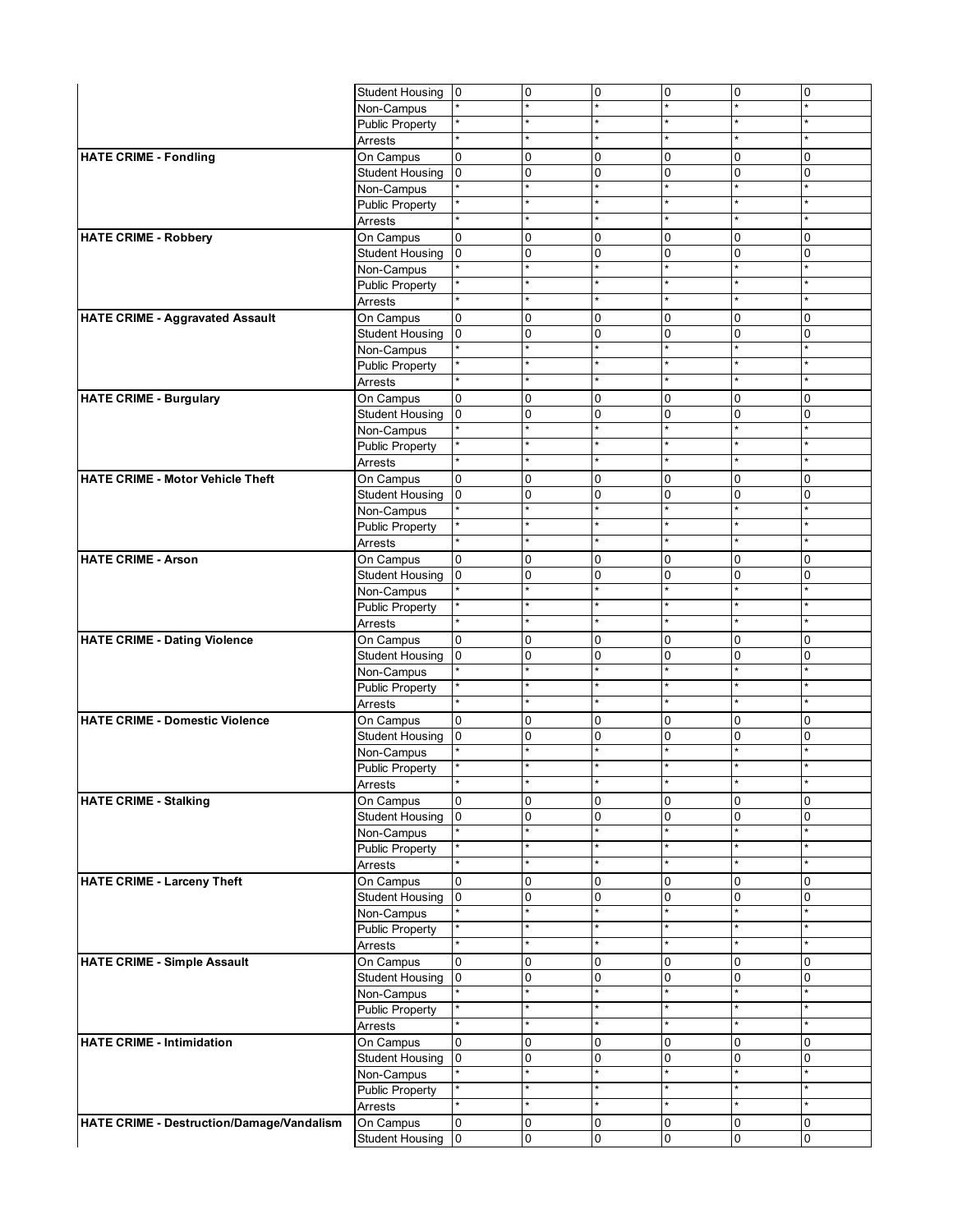|                                           | Student Housing 0                 |                | 0            | 0            | $\overline{0}$ | 0              | 0 |
|-------------------------------------------|-----------------------------------|----------------|--------------|--------------|----------------|----------------|---|
|                                           | Non-Campus                        |                | $\star$      |              |                |                |   |
|                                           | Public Property                   |                | $\star$      |              |                |                |   |
|                                           | Arrests                           |                | $\star$      |              |                | $\star$        |   |
| <b>HATE CRIME - Fondling</b>              | On Campus                         | $\mathbf{0}$   | 0            | $\Omega$     | $\mathbf 0$    | 0              | 0 |
|                                           | <b>Student Housing</b>            | $\overline{0}$ | 0            | $\Omega$     | $\mathbf 0$    | 0              | 0 |
|                                           | Non-Campus                        |                | $\star$      |              |                | $\star$        |   |
|                                           | <b>Public Property</b>            |                |              |              |                | $\star$        |   |
|                                           | Arrests                           |                | $\star$      |              |                | $\star$        |   |
| <b>HATE CRIME - Robbery</b>               | On Campus                         | $\Omega$       | 0            | $\Omega$     | $\Omega$       | 0              | 0 |
|                                           | <b>Student Housing</b>            | $\overline{0}$ | 0            | $\Omega$     | $\overline{0}$ | 0              | 0 |
|                                           | Non-Campus                        |                | $\star$      |              |                | $\star$        |   |
|                                           | <b>Public Property</b>            |                | $\star$      |              |                | $\star$        |   |
|                                           | Arrests                           | $\star$        | $\star$      | $\star$      | $\star$        | $\star$        |   |
| <b>HATE CRIME - Aggravated Assault</b>    | On Campus                         | 0              | 0            | $\mathbf 0$  | $\mathbf 0$    | $\overline{0}$ | 0 |
|                                           | <b>Student Housing</b>            | $\overline{0}$ | $\mathbf 0$  | $\Omega$     | $\mathbf 0$    | 0              | 0 |
|                                           | Non-Campus                        |                | $\star$      |              |                | $\star$        |   |
|                                           | <b>Public Property</b>            |                | $\star$      |              |                | $\star$        |   |
|                                           | Arrests                           | $\star$        | $\star$      | $\star$      |                | $\star$        |   |
| <b>HATE CRIME - Burgulary</b>             | On Campus                         | $\overline{0}$ | 0            | $\Omega$     | $\mathbf 0$    | $\Omega$       | 0 |
|                                           | <b>Student Housing</b>            | $\overline{0}$ | 0            | $\Omega$     | $\mathbf 0$    | 0              | 0 |
|                                           | Non-Campus                        |                | $\star$      |              |                | $\star$        |   |
|                                           | <b>Public Property</b>            |                | $\star$      |              |                | $\star$        |   |
|                                           | Arrests                           |                | $\star$      |              |                | $\star$        |   |
| <b>HATE CRIME - Motor Vehicle Theft</b>   | On Campus                         | 0              | 0            | $\Omega$     | $\Omega$       | 0              | 0 |
|                                           | <b>Student Housing</b>            | $\mathbf 0$    | 0            | 0            | $\mathbf 0$    | 0              | 0 |
|                                           | Non-Campus                        |                | $\star$      |              | ÷              | $\star$        |   |
|                                           | <b>Public Property</b>            |                |              |              |                |                |   |
|                                           | Arrests                           | $\star$        | $\star$      | $\star$      |                | $\star$        |   |
| <b>HATE CRIME - Arson</b>                 | On Campus                         | 0              | 0            | $\Omega$     | $\mathbf 0$    | 0              | 0 |
|                                           | <b>Student Housing</b>            | l0             | 0            | $\mathbf{0}$ | $\mathbf 0$    | 0              | 0 |
|                                           | Non-Campus                        |                | $\star$      |              |                | $\star$        |   |
|                                           | <b>Public Property</b>            |                | $\star$      |              |                | $\star$        |   |
|                                           | Arrests                           | $\star$        | $\star$      | $\star$      | $\star$        | $\star$        |   |
| <b>HATE CRIME - Dating Violence</b>       | On Campus                         | $\mathbf{0}$   | 0            | $\Omega$     | $\mathbf 0$    | $\Omega$       | 0 |
|                                           | <b>Student Housing</b>            | $\overline{0}$ | 0            | $\mathbf 0$  | $\mathbf 0$    | 0              | 0 |
|                                           | Non-Campus                        |                | $\star$      |              |                | $\star$        |   |
|                                           | <b>Public Property</b>            |                |              |              |                | $\star$        |   |
|                                           | Arrests                           | $\star$        | $\star$      | $\star$      |                | $\star$        |   |
| <b>HATE CRIME - Domestic Violence</b>     | On Campus                         | $\overline{0}$ | 0            | $\mathbf 0$  | $\overline{0}$ | 0              | 0 |
|                                           | <b>Student Housing</b>            | $\overline{0}$ | 0            | 0            | 0              | 0              | 0 |
|                                           | Non-Campus                        |                | $\star$      |              |                | $\star$        |   |
|                                           | <b>Public Property</b>            |                | $\star$      |              |                |                |   |
|                                           |                                   |                |              |              |                |                |   |
| <b>HATE CRIME - Stalking</b>              | Arrests<br>On Campus              | 0              | 0            | $\mathbf 0$  | $\mathbf 0$    | 0              | 0 |
|                                           | <b>Student Housing</b>            | lo.            | 0            | 0            | 0              | 0              | 0 |
|                                           | Non-Campus                        |                | $\star$      |              |                |                |   |
|                                           | <b>Public Property</b>            |                |              |              |                |                |   |
|                                           | Arrests                           | $\star$        | $\star$      |              |                | $\star$        |   |
| <b>HATE CRIME - Larceny Theft</b>         | On Campus                         | 0              | 0            | $\Omega$     | 0              | 0              | 0 |
|                                           | <b>Student Housing</b>            | 0              | 0            | $\mathbf 0$  | $\mathbf 0$    | 0              | 0 |
|                                           | Non-Campus                        |                | $\star$      |              |                | *              |   |
|                                           | <b>Public Property</b>            |                | $\star$      |              |                | $\star$        |   |
|                                           | <b>Arrests</b>                    | $\star$        | $\star$      | $\star$      | $\star$        | $\star$        |   |
| <b>HATE CRIME - Simple Assault</b>        | On Campus                         | 0              | 0            | $\mathbf 0$  | $\mathbf 0$    | $\overline{0}$ | 0 |
|                                           | <b>Student Housing</b>            | $\overline{0}$ | 0            | 0            | $\mathbf 0$    | 0              | 0 |
|                                           | Non-Campus                        |                | $\star$      |              |                | $\star$        |   |
|                                           | <b>Public Property</b>            |                | $\star$      |              |                | *              |   |
|                                           |                                   | $\star$        | $\star$      | $\star$      |                | $\star$        |   |
| <b>HATE CRIME - Intimidation</b>          | Arrests<br>On Campus              | $\overline{0}$ | 0            | $\Omega$     | $\mathbf 0$    | 0              | 0 |
|                                           |                                   |                |              | 0            |                |                |   |
|                                           | <b>Student Housing</b>            | $\overline{0}$ | 0<br>$\star$ |              | $\mathbf 0$    | 0<br>$\star$   | 0 |
|                                           | Non-Campus                        | *              | $\star$      |              |                | $\star$        |   |
|                                           | <b>Public Property</b><br>Arrests |                | $\star$      |              |                | $\star$        |   |
|                                           |                                   | $\overline{0}$ |              |              |                |                |   |
| HATE CRIME - Destruction/Damage/Vandalism | On Campus                         |                | 0            | $\mathbf 0$  | 0              | $\overline{0}$ | 0 |
|                                           | <b>Student Housing</b>            | 0              | 0            | $\mathbf 0$  | 0              | 0              | 0 |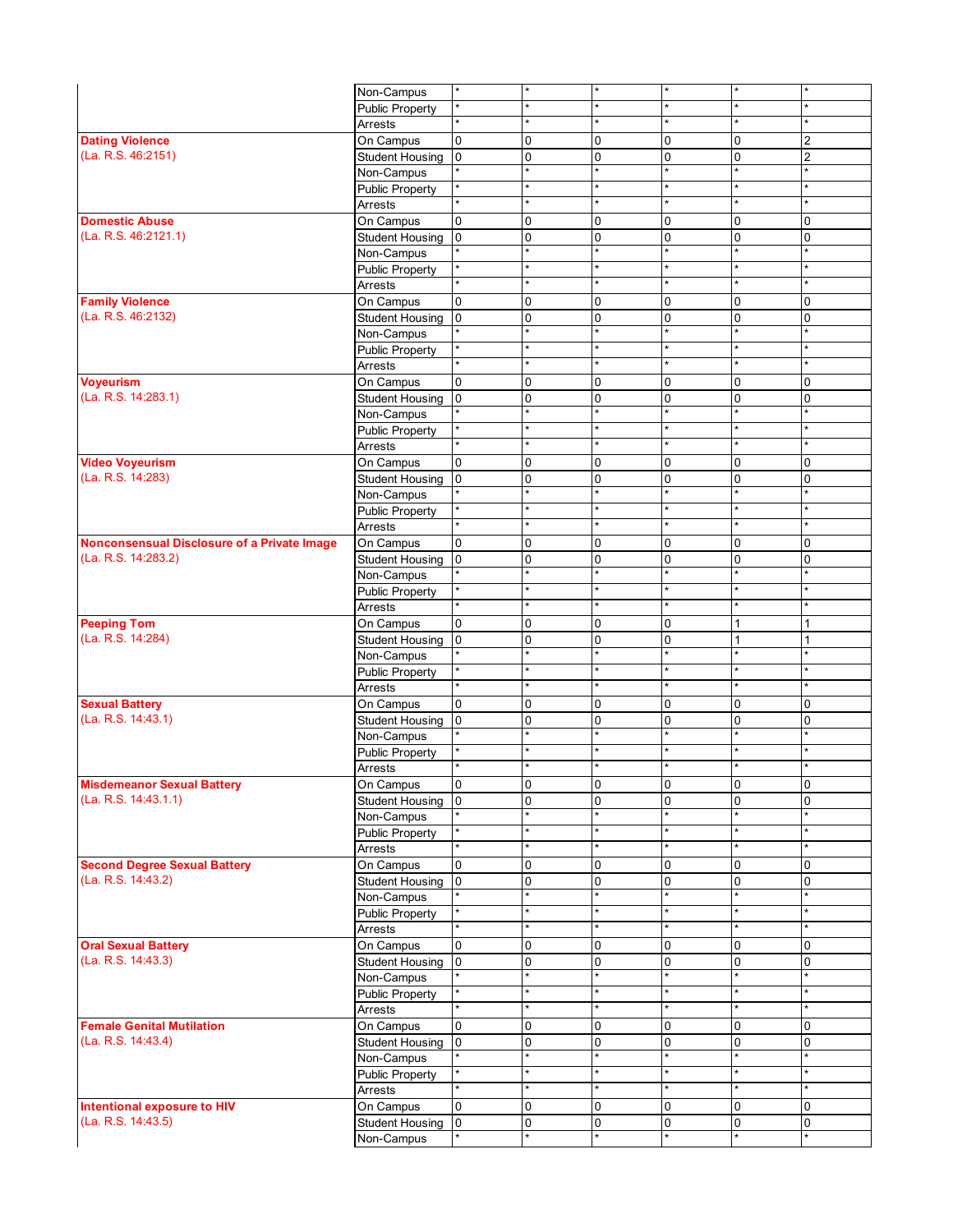|                                                           | Non-Campus                           | $\star$                          | $\star$                |                         |                            | ×                       |                |
|-----------------------------------------------------------|--------------------------------------|----------------------------------|------------------------|-------------------------|----------------------------|-------------------------|----------------|
|                                                           | <b>Public Property</b>               |                                  |                        |                         |                            | $\star$                 |                |
|                                                           | Arrests                              |                                  | $\star$                |                         |                            | $\star$                 |                |
| <b>Dating Violence</b>                                    | On Campus                            | $\overline{0}$                   | $\mathbf 0$            | 0                       | $\mathbf 0$                | 0                       | 2              |
| (La. R.S. 46:2151)                                        | <b>Student Housing</b>               | l0                               | $\mathbf 0$            | $\Omega$                | $\mathbf{0}$               | 0                       | $\overline{2}$ |
|                                                           | Non-Campus                           |                                  | $\star$                |                         |                            | $\star$                 |                |
|                                                           | <b>Public Property</b>               |                                  | $\star$                |                         |                            | ×                       |                |
|                                                           | Arrests                              |                                  | $\star$                |                         |                            | $\star$                 |                |
| <b>Domestic Abuse</b>                                     | On Campus                            | $\overline{0}$                   | 0                      | $\Omega$                | $\Omega$                   | $\mathbf 0$             | $\Omega$       |
| (La. R.S. 46:2121.1)                                      | <b>Student Housing</b>               | $\overline{0}$                   | 0                      | $\Omega$                | $\Omega$                   | 0                       | 0              |
|                                                           | Non-Campus                           |                                  | $\star$                |                         |                            | $\star$                 |                |
|                                                           | <b>Public Property</b>               |                                  | $\star$                |                         |                            | $\star$                 |                |
|                                                           | Arrests                              |                                  |                        |                         |                            | $\star$                 |                |
| <b>Family Violence</b>                                    | On Campus                            | 0                                | 0                      | $\mathbf 0$             | 0                          | $\mathbf 0$             | 0              |
| (La. R.S. 46:2132)                                        | <b>Student Housing</b>               | $\overline{0}$                   | $\mathbf 0$<br>$\star$ | $\mathbf 0$             | $\mathbf 0$<br>$\star$     | $\mathbf 0$             | 0              |
|                                                           | Non-Campus                           |                                  | $\star$                |                         |                            | $\star$<br>$\star$      |                |
|                                                           | <b>Public Property</b>               |                                  | $\star$                |                         |                            | $\star$                 |                |
|                                                           | Arrests                              |                                  |                        |                         |                            |                         |                |
| <b>Voyeurism</b>                                          | On Campus                            | $\overline{0}$<br>l <sub>0</sub> | 0                      | $\Omega$<br>$\Omega$    | $\mathbf 0$<br>$\Omega$    | $\mathbf 0$<br>$\Omega$ | 0<br>0         |
| (La. R.S. 14:283.1)                                       | <b>Student Housing</b>               |                                  | 0<br>$\star$           |                         | $\star$                    | $\star$                 |                |
|                                                           | Non-Campus<br><b>Public Property</b> |                                  | $\star$                |                         |                            | $\star$                 |                |
|                                                           | Arrests                              |                                  |                        |                         |                            | ×                       |                |
| <b>Video Voyeurism</b>                                    | On Campus                            | $\overline{0}$                   | 0                      | $\Omega$                | $\Omega$                   | $\mathbf 0$             | 0              |
| (La. R.S. 14:283)                                         | <b>Student Housing</b>               | $\overline{0}$                   | 0                      | $\Omega$                | $\Omega$                   | 0                       | 0              |
|                                                           | Non-Campus                           |                                  | $\star$                |                         |                            |                         |                |
|                                                           | <b>Public Property</b>               |                                  |                        |                         |                            | $\star$                 |                |
|                                                           | Arrests                              |                                  | $\star$                |                         |                            | $\star$                 |                |
| Nonconsensual Disclosure of a Private Image               | On Campus                            | $\overline{0}$                   | 0                      | $\mathbf 0$             | 0                          | $\mathbf 0$             | 0              |
| (La. R.S. 14:283.2)                                       | <b>Student Housing</b>               | 0                                | 0                      | $\Omega$                | $\mathbf 0$                | 0                       | 0              |
|                                                           | Non-Campus                           |                                  | $\star$                |                         |                            | $\star$                 |                |
|                                                           | <b>Public Property</b>               |                                  | $\star$                |                         |                            | $\star$                 |                |
|                                                           | Arrests                              |                                  | $\star$                |                         |                            | $\star$                 |                |
| <b>Peeping Tom</b>                                        | On Campus                            | $\overline{0}$                   | 0                      | $\Omega$                | $\mathbf 0$                | 1                       |                |
| (La. R.S. 14:284)                                         | <b>Student Housing</b>               | 0                                | 0                      | $\Omega$                | $\Omega$                   | $\mathbf{1}$            | 1              |
|                                                           | Non-Campus                           |                                  | $\star$                |                         | $\star$                    | $\star$                 |                |
|                                                           | <b>Public Property</b>               |                                  | $\star$                |                         |                            | $\star$                 |                |
|                                                           | Arrests                              |                                  | $\star$                |                         |                            | $\star$                 |                |
| <b>Sexual Battery</b>                                     | On Campus                            | $\overline{0}$                   | 0                      | $\Omega$                | 0                          | $\mathbf 0$             | 0              |
| (La. R.S. 14:43.1)                                        | <b>Student Housing</b>               | $\overline{0}$                   | $\mathbf 0$            | $\Omega$                | $\overline{0}$             | $\mathbf 0$             | $\Omega$       |
|                                                           | Non-Campus                           |                                  | $\star$                |                         |                            | $\star$                 |                |
|                                                           | <b>Public Property</b>               |                                  | $\star$                |                         |                            | $\star$                 |                |
|                                                           | Arrests                              |                                  | $\star$                |                         |                            | $\star$                 |                |
| Misdemeanor Sexual Battery                                | On Campus                            | 0                                | 0                      | U                       | 0                          | 0                       | U              |
| (La. R.S. 14:43.1.1)                                      | <b>Student Housing</b>               | $\overline{0}$                   | $\mathbf 0$<br>$\star$ | 0                       | $\mathbf{0}$               | $\mathbf 0$             | 0              |
|                                                           | Non-Campus                           |                                  | $\star$                |                         |                            | $\star$                 |                |
|                                                           | <b>Public Property</b>               |                                  |                        |                         |                            | ×                       |                |
|                                                           | Arrests                              | 0                                |                        |                         |                            |                         |                |
| <b>Second Degree Sexual Battery</b><br>(La. R.S. 14:43.2) | On Campus                            | $\overline{0}$                   | 0                      | $\mathbf 0$<br>$\Omega$ | $\mathbf 0$<br>$\mathbf 0$ | $\mathbf 0$             | $\Omega$<br>0  |
|                                                           | <b>Student Housing</b>               |                                  | 0<br>$\star$           |                         |                            | 0                       |                |
|                                                           | Non-Campus<br><b>Public Property</b> |                                  |                        |                         |                            | *                       |                |
|                                                           | Arrests                              |                                  | $\star$                |                         |                            | $\star$                 |                |
| <b>Oral Sexual Battery</b>                                | On Campus                            | $\overline{0}$                   | 0                      | 0                       | 0                          | $\mathbf 0$             | 0              |
| (La. R.S. 14:43.3)                                        | <b>Student Housing</b>               | 0                                | 0                      | 0                       | 0                          | 0                       | 0              |
|                                                           | Non-Campus                           |                                  | $\star$                |                         |                            | $\star$                 |                |
|                                                           | <b>Public Property</b>               |                                  | $\star$                |                         |                            | $\star$                 |                |
|                                                           | Arrests                              |                                  | $\star$                |                         |                            | $\star$                 |                |
| <b>Female Genital Mutilation</b>                          | On Campus                            | $\overline{0}$                   | 0                      | 0                       | 0                          | 0                       | 0              |
| (La. R.S. 14:43.4)                                        | <b>Student Housing</b>               | 0                                | 0                      | 0                       | $\mathbf 0$                | $\mathbf 0$             | 0              |
|                                                           | Non-Campus                           |                                  | $\star$                |                         |                            | $\star$                 |                |
|                                                           | <b>Public Property</b>               |                                  |                        |                         |                            | $\star$                 |                |
|                                                           | Arrests                              |                                  | $\ast$                 |                         |                            | $\star$                 |                |
| Intentional exposure to HIV                               | On Campus                            | 0                                | 0                      | 0                       | 0                          | 0                       | $\Omega$       |
| (La. R.S. 14:43.5)                                        | <b>Student Housing</b>               | 0                                | 0                      | 0                       | $\mathbf 0$                | $\mathbf 0$             | 0              |
|                                                           | Non-Campus                           |                                  | $\star$                |                         |                            |                         |                |
|                                                           |                                      |                                  |                        |                         |                            |                         |                |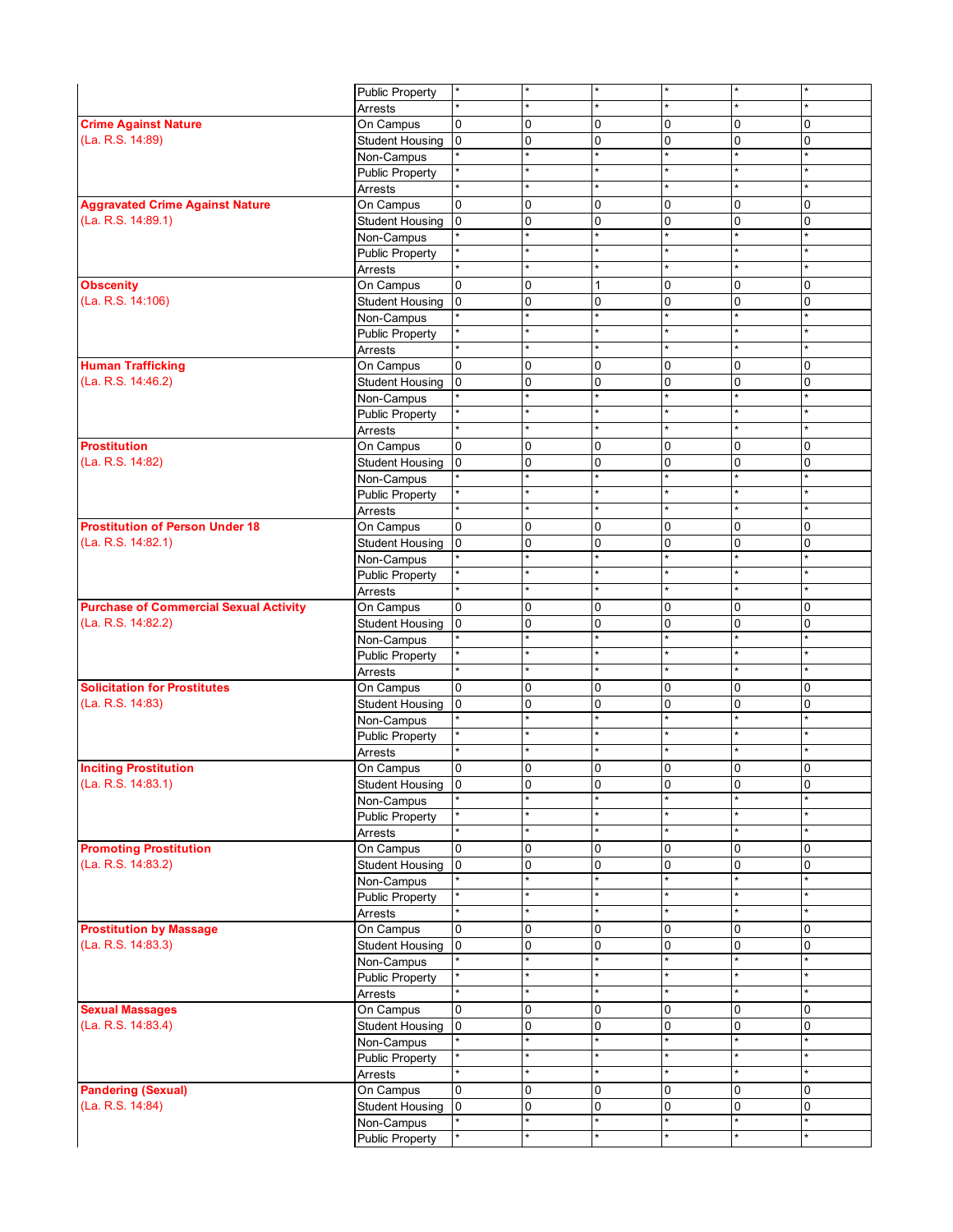|                                               | <b>Public Property</b>          | *              | $\star$      |                        |                  | $\star$                                                                                                                                                                                                                                                                                                                                                  |                         |
|-----------------------------------------------|---------------------------------|----------------|--------------|------------------------|------------------|----------------------------------------------------------------------------------------------------------------------------------------------------------------------------------------------------------------------------------------------------------------------------------------------------------------------------------------------------------|-------------------------|
|                                               | Arrests                         |                | $\star$      |                        |                  |                                                                                                                                                                                                                                                                                                                                                          |                         |
| <b>Crime Against Nature</b>                   | On Campus                       | 0              | 0            | $\mathbf 0$            | 0                | $\overline{0}$                                                                                                                                                                                                                                                                                                                                           | 0                       |
| (La. R.S. 14:89)                              | <b>Student Housing</b>          | lo.            | 0            | $\mathbf 0$            | 0                | 0                                                                                                                                                                                                                                                                                                                                                        | 0                       |
|                                               | Non-Campus                      |                | $\star$      | $\star$                | ÷                | $\star$                                                                                                                                                                                                                                                                                                                                                  |                         |
|                                               | <b>Public Property</b>          | ¥              | $\star$      | $\star$                |                  | $\star$                                                                                                                                                                                                                                                                                                                                                  |                         |
|                                               | Arrests                         |                | $\star$      |                        |                  | $\star$                                                                                                                                                                                                                                                                                                                                                  |                         |
| <b>Aggravated Crime Against Nature</b>        | On Campus                       | 0              | 0            | $\Omega$               | $\mathbf 0$      |                                                                                                                                                                                                                                                                                                                                                          | 0                       |
| (La. R.S. 14:89.1)                            | <b>Student Housing</b>          | $\overline{0}$ | 0            | $\Omega$               | $\overline{0}$   |                                                                                                                                                                                                                                                                                                                                                          | 0                       |
|                                               | Non-Campus                      |                | $\star$      | $\star$                |                  |                                                                                                                                                                                                                                                                                                                                                          |                         |
|                                               | <b>Public Property</b>          |                | $\star$      |                        |                  |                                                                                                                                                                                                                                                                                                                                                          |                         |
|                                               |                                 |                |              |                        |                  |                                                                                                                                                                                                                                                                                                                                                          |                         |
|                                               | Arrests                         |                |              |                        |                  |                                                                                                                                                                                                                                                                                                                                                          |                         |
| <b>Obscenity</b>                              | On Campus                       | 0              | 0            |                        | 0                |                                                                                                                                                                                                                                                                                                                                                          | 0<br>$\Omega$           |
| (La. R.S. 14:106)                             | <b>Student Housing</b>          | $\overline{0}$ | 0<br>$\star$ | $\mathbf 0$<br>$\star$ | 0                |                                                                                                                                                                                                                                                                                                                                                          |                         |
|                                               | Non-Campus                      |                | $\star$      |                        |                  |                                                                                                                                                                                                                                                                                                                                                          |                         |
|                                               | <b>Public Property</b>          | ¥              | $\star$      | $\star$                |                  |                                                                                                                                                                                                                                                                                                                                                          |                         |
|                                               | Arrests                         |                |              |                        |                  |                                                                                                                                                                                                                                                                                                                                                          |                         |
| <b>Human Trafficking</b>                      | On Campus                       | 0              | 0            | $\mathbf 0$            | 0<br>$\mathbf 0$ |                                                                                                                                                                                                                                                                                                                                                          | $\Omega$                |
| (La. R.S. 14:46.2)                            | <b>Student Housing</b>          | $\overline{0}$ | 0<br>$\star$ | $\Omega$               |                  |                                                                                                                                                                                                                                                                                                                                                          | 0                       |
|                                               | Non-Campus                      | ×              | $\star$      | $\star$                |                  |                                                                                                                                                                                                                                                                                                                                                          |                         |
|                                               | <b>Public Property</b>          |                |              |                        |                  |                                                                                                                                                                                                                                                                                                                                                          |                         |
|                                               | Arrests                         |                |              |                        |                  | 0<br>0<br>$\star$<br>0<br>0<br>$\star$<br>$\star$<br>$\star$<br>$\overline{0}$<br>0<br>$\star$<br>$\star$<br>$\star$<br>0<br>0<br>$\star$<br>٠<br>$\Omega$<br>0<br>$\star$<br>$\star$<br>$\star$<br>0<br>0<br>$\star$<br>$\star$<br>$\star$<br>$\overline{0}$<br>0<br>$\star$<br>$\star$<br>$\overline{0}$<br>$\overline{\text{o}}$<br>$\star$<br>0<br>0 |                         |
| <b>Prostitution</b>                           | On Campus                       | 0              | 0            | $\mathbf 0$            | 0                |                                                                                                                                                                                                                                                                                                                                                          | 0                       |
| (La. R.S. 14:82)                              | <b>Student Housing</b>          | $\overline{0}$ | 0<br>$\star$ | $\Omega$               | 0                |                                                                                                                                                                                                                                                                                                                                                          | $\mathsf 0$             |
|                                               | Non-Campus                      |                | $\star$      |                        |                  |                                                                                                                                                                                                                                                                                                                                                          |                         |
|                                               | <b>Public Property</b>          |                |              |                        |                  |                                                                                                                                                                                                                                                                                                                                                          |                         |
|                                               | Arrests                         |                |              |                        |                  |                                                                                                                                                                                                                                                                                                                                                          |                         |
| <b>Prostitution of Person Under 18</b>        | On Campus                       | 0              | 0            | $\Omega$               | 0                |                                                                                                                                                                                                                                                                                                                                                          | 0                       |
| (La. R.S. 14:82.1)                            | <b>Student Housing</b>          | $\overline{0}$ | 0<br>$\star$ | $\mathbf 0$<br>$\star$ | 0                |                                                                                                                                                                                                                                                                                                                                                          | 0                       |
|                                               | Non-Campus                      |                |              |                        |                  |                                                                                                                                                                                                                                                                                                                                                          |                         |
|                                               | <b>Public Property</b>          |                | $\star$      |                        |                  |                                                                                                                                                                                                                                                                                                                                                          |                         |
|                                               | Arrests                         |                | $\star$      |                        |                  |                                                                                                                                                                                                                                                                                                                                                          |                         |
| <b>Purchase of Commercial Sexual Activity</b> | On Campus                       | 0              | 0            | $\mathbf 0$            | 0                |                                                                                                                                                                                                                                                                                                                                                          | 0                       |
| (La. R.S. 14:82.2)                            | <b>Student Housing</b>          | l0             | 0            | $\Omega$               | $\overline{0}$   |                                                                                                                                                                                                                                                                                                                                                          | $\Omega$                |
|                                               | $\overline{\text{Non}}$ -Campus |                | $\star$      | $\star$                | $\star$          |                                                                                                                                                                                                                                                                                                                                                          |                         |
|                                               | <b>Public Property</b>          |                | $\star$      |                        |                  |                                                                                                                                                                                                                                                                                                                                                          |                         |
|                                               | Arrests                         |                |              |                        |                  |                                                                                                                                                                                                                                                                                                                                                          |                         |
| <b>Solicitation for Prostitutes</b>           | On Campus                       | 0              | 0            | $\Omega$               | 0                |                                                                                                                                                                                                                                                                                                                                                          | $\Omega$                |
| (La. R.S. 14:83)                              | <b>Student Housing</b>          | $\overline{0}$ | 0            | $\Omega$               | $\overline{0}$   |                                                                                                                                                                                                                                                                                                                                                          | 0                       |
|                                               | Non-Campus                      |                | $\star$      |                        |                  |                                                                                                                                                                                                                                                                                                                                                          |                         |
|                                               | <b>Public Property</b>          |                | $\star$      |                        |                  |                                                                                                                                                                                                                                                                                                                                                          |                         |
|                                               | Arrests                         |                |              |                        |                  |                                                                                                                                                                                                                                                                                                                                                          |                         |
| <b>Inciting Prostitution</b>                  | On Campus                       | $\overline{0}$ | 0            | $\mathbf 0$            | 0                |                                                                                                                                                                                                                                                                                                                                                          | 0                       |
| (La. R.S. 14:83.1)                            | Student Housing 0               |                | 0            | $\overline{0}$         | $\overline{0}$   |                                                                                                                                                                                                                                                                                                                                                          | $\overline{\textbf{0}}$ |
|                                               | Non-Campus                      |                |              |                        |                  |                                                                                                                                                                                                                                                                                                                                                          |                         |
|                                               | <b>Public Property</b>          |                | $\star$      |                        |                  |                                                                                                                                                                                                                                                                                                                                                          |                         |
|                                               | Arrests                         |                | $\star$      |                        |                  |                                                                                                                                                                                                                                                                                                                                                          |                         |
| <b>Promoting Prostitution</b>                 | On Campus                       | 0              | 0            | 0                      | $\mathbf 0$      |                                                                                                                                                                                                                                                                                                                                                          | 0                       |
| (La. R.S. 14:83.2)                            | Student Housing                 | lo.            | 0            | $\mathbf 0$            | 0                |                                                                                                                                                                                                                                                                                                                                                          | $\Omega$                |
|                                               | Non-Campus                      |                | $\star$      | $\star$                | $\star$          | $\star$                                                                                                                                                                                                                                                                                                                                                  |                         |
|                                               | <b>Public Property</b>          |                | $\star$      |                        |                  | $\star$                                                                                                                                                                                                                                                                                                                                                  |                         |
|                                               | Arrests                         |                |              |                        |                  | $\star$                                                                                                                                                                                                                                                                                                                                                  |                         |
| <b>Prostitution by Massage</b>                | On Campus                       | 0              | 0            | 0                      | 0                | 0                                                                                                                                                                                                                                                                                                                                                        | 0                       |
| (La. R.S. 14:83.3)                            | <b>Student Housing</b>          | 0              | 0            | 0                      | $\overline{0}$   | $\overline{0}$                                                                                                                                                                                                                                                                                                                                           | 0                       |
|                                               | Non-Campus                      |                | $\star$      | $\star$                |                  | $\star$                                                                                                                                                                                                                                                                                                                                                  |                         |
|                                               | <b>Public Property</b>          |                | $\star$      |                        |                  | $\star$                                                                                                                                                                                                                                                                                                                                                  |                         |
|                                               | Arrests                         | ×              | $\star$      | $\ast$                 |                  | $\star$                                                                                                                                                                                                                                                                                                                                                  |                         |
| <b>Sexual Massages</b>                        | On Campus                       | $\overline{0}$ | 0            | 0                      | 0                | $\overline{0}$                                                                                                                                                                                                                                                                                                                                           | 0                       |
| (La. R.S. 14:83.4)                            | <b>Student Housing</b>          | $\overline{0}$ | 0            | $\mathbf 0$            | $\mathbf 0$      | 0                                                                                                                                                                                                                                                                                                                                                        | 0                       |
|                                               | Non-Campus                      |                | $\star$      |                        | $\star$          | $\star$                                                                                                                                                                                                                                                                                                                                                  |                         |
|                                               | <b>Public Property</b>          | *              | $\star$      |                        |                  | $\star$                                                                                                                                                                                                                                                                                                                                                  |                         |
|                                               | Arrests                         |                |              |                        |                  |                                                                                                                                                                                                                                                                                                                                                          |                         |
| <b>Pandering (Sexual)</b>                     | On Campus                       | 0              | 0            | $\mathbf 0$            | 0                | 0                                                                                                                                                                                                                                                                                                                                                        | 0                       |
| (La. R.S. 14:84)                              | <b>Student Housing</b>          | $\overline{0}$ | 0            | $\mathbf 0$            | $\overline{0}$   | 0                                                                                                                                                                                                                                                                                                                                                        | 0                       |
|                                               | Non-Campus                      |                | $\star$      |                        |                  | $\star$                                                                                                                                                                                                                                                                                                                                                  |                         |
|                                               | <b>Public Property</b>          |                | $\star$      |                        |                  |                                                                                                                                                                                                                                                                                                                                                          |                         |